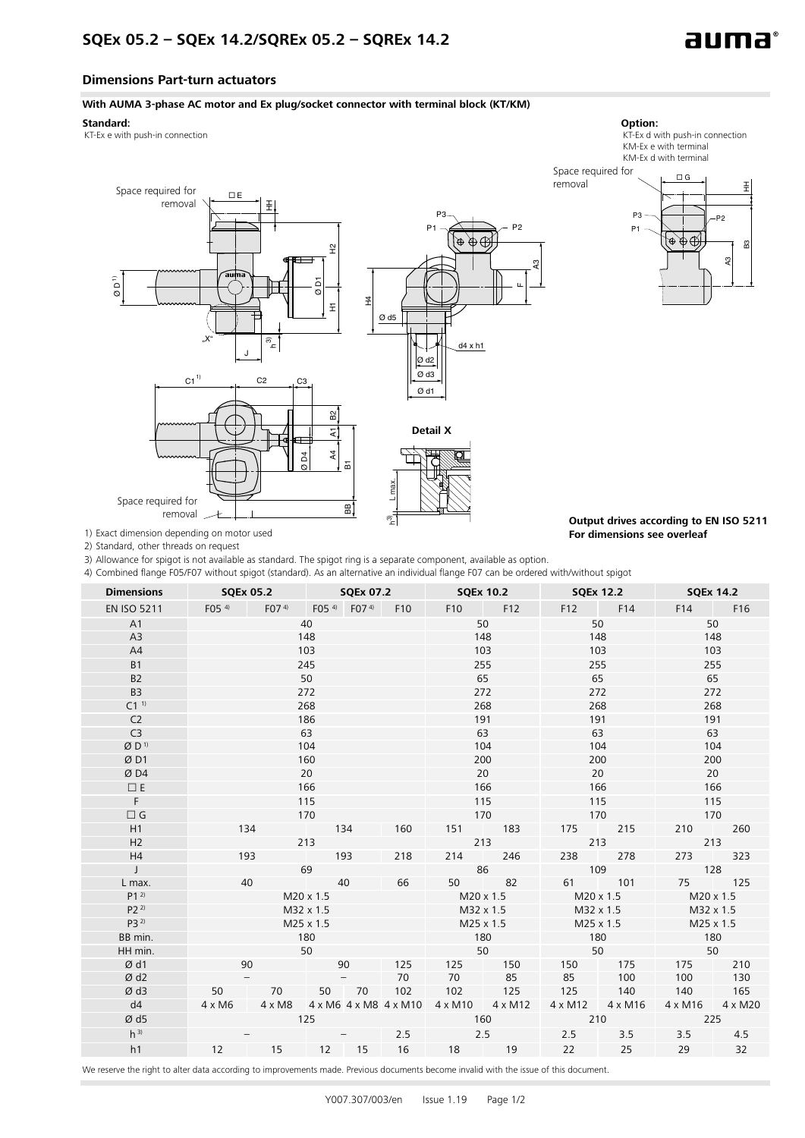

**For dimensions see overleaf**

## **Dimensions Part-turn actuators**

## **With AUMA 3-phase AC motor and Ex plug/socket connector with terminal block (KT/KM)**



1) Exact dimension depending on motor used

2) Standard, other threads on request

3) Allowance for spigot is not available as standard. The spigot ring is a separate component, available as option.

4) Combined flange F05/F07 without spigot (standard). As an alternative an individual flange F07 can be ordered with/without spigot

్తే

| <b>Dimensions</b>  | <b>SQEx 05.2</b> |                                                                                        |                                |       |     |           | SQEx 07.2 SQEx 10.2 SQEx 12.2 SQEx 14.2 |                                 |         |                                   |         |
|--------------------|------------------|----------------------------------------------------------------------------------------|--------------------------------|-------|-----|-----------|-----------------------------------------|---------------------------------|---------|-----------------------------------|---------|
| <b>EN ISO 5211</b> |                  | F05 4) F07 4) F05 4) F07 4) F10                                                        |                                |       |     |           | F10 F12                                 |                                 | F12 F14 | F14 F16                           |         |
| A1                 | 40               |                                                                                        |                                |       |     | 50        |                                         | 50                              |         | 50                                |         |
| A3                 | 148              |                                                                                        |                                |       |     | 148       |                                         | 148                             |         | 148                               |         |
| A4                 | 103              |                                                                                        |                                |       |     | 103       |                                         | 103                             |         | 103                               |         |
| <b>B1</b>          | 245              |                                                                                        |                                |       |     | 255       |                                         | 255                             |         | 255                               |         |
| <b>B2</b>          | 50               |                                                                                        |                                |       |     | 65        |                                         | 65                              |         | 65                                |         |
| B <sub>3</sub>     |                  |                                                                                        | 272                            |       |     | 272       |                                         | 272                             |         | 272                               |         |
| C1 <sup>1</sup>    |                  |                                                                                        | 268                            |       |     | 268       |                                         | 268                             |         | 268                               |         |
| C <sub>2</sub>     |                  |                                                                                        | 186                            |       |     |           | 191                                     |                                 | 191     |                                   | 191     |
| C <sub>3</sub>     |                  |                                                                                        | 63                             |       |     | 63        |                                         | 63                              |         | 63                                |         |
| ØD <sup>1</sup>    |                  |                                                                                        | 104                            |       |     | 104       |                                         | 104                             |         | 104                               |         |
| ØD1                |                  |                                                                                        | 160                            |       |     | 200       |                                         | 200                             |         | 200                               |         |
| ØD4                | 20               |                                                                                        |                                |       |     | 20        |                                         | 20                              |         | 20                                |         |
| $\Box E$           | 166              |                                                                                        |                                |       |     | 166       |                                         | 166                             |         | 166                               |         |
| F                  | 115              |                                                                                        |                                |       |     | 115       |                                         | 115                             |         | 115                               |         |
| $\Box G$           | 170              |                                                                                        |                                |       |     | 170       |                                         | 170                             |         | 170                               |         |
| H1                 | 134              |                                                                                        | <b>CONTRACTOR</b><br>134       |       | 160 |           | 151 183                                 | 175 215                         |         | 210                               | 260     |
| H2                 | 213              |                                                                                        |                                |       |     | 213       |                                         | 213                             |         | 213                               |         |
| H4                 | 193              |                                                                                        | 193                            |       | 218 | 214       | 246                                     | 238 278                         |         | 273                               | 323     |
| $\perp$            |                  |                                                                                        | 69                             |       |     |           | 86                                      | 109                             |         |                                   | 128     |
| L max.             | 40               |                                                                                        | <b>Contract Contract</b>       | 40    | 66  |           | 50 82                                   | 61 101                          |         | 75 125                            |         |
| $P1^{2}$           | M20 x 1.5        |                                                                                        |                                |       |     |           | $M20 \times 1.5$                        |                                 |         | $M20 \times 1.5$ $M20 \times 1.5$ |         |
| $P2^{2}$           | M32 x 1.5        |                                                                                        |                                |       |     |           |                                         | M32 x 1.5 M32 x 1.5 M32 x 1.5   |         |                                   |         |
| $P3^{2}$           | M25 x 1.5        |                                                                                        |                                |       |     | M25 x 1.5 |                                         | $M25 \times 1.5$                |         | $M25 \times 1.5$                  |         |
| BB min.            | 180              |                                                                                        |                                |       |     | 180       |                                         | 180<br>50                       |         | 180<br>50                         |         |
| HH min.            |                  |                                                                                        | 50                             |       |     |           | 50                                      |                                 |         |                                   |         |
| Ø d1               | 90               |                                                                                        | <b>Contract Contract</b><br>90 |       | 125 |           | 125 150                                 | 150 175                         |         | 175 210                           |         |
| Ød2                |                  |                                                                                        |                                |       | 70  |           | 70 85                                   | 85 100                          |         | 100                               | 130     |
| Ød3                | 50               | 70                                                                                     |                                | 50 70 | 102 |           | 102 125                                 | 125                             | 140     | 140 165                           |         |
| d4                 | $4 \times M6$    | $4 \times M8$ $4 \times M6$ $4 \times M8$ $4 \times M10$ $4 \times M10$ $4 \times M12$ |                                |       |     |           |                                         | $4 \times M12$ $4 \times M16$   |         | 4 x M16                           | 4 x M20 |
| Ød5                |                  |                                                                                        | 125                            |       |     | 160       |                                         | <b>Contract Contract</b><br>210 |         | 225                               |         |
| $h^{3}$            |                  |                                                                                        |                                |       | 2.5 | 2.5       | <b>Contract Contract</b>                | 2.5                             |         | $3.5$ $3.5$                       | 4.5     |
| h1                 | 12               | 15 12 15                                                                               |                                |       |     | 16 18 19  |                                         | 22 25                           |         | 29 32                             |         |

We reserve the right to alter data according to improvements made. Previous documents become invalid with the issue of this document.